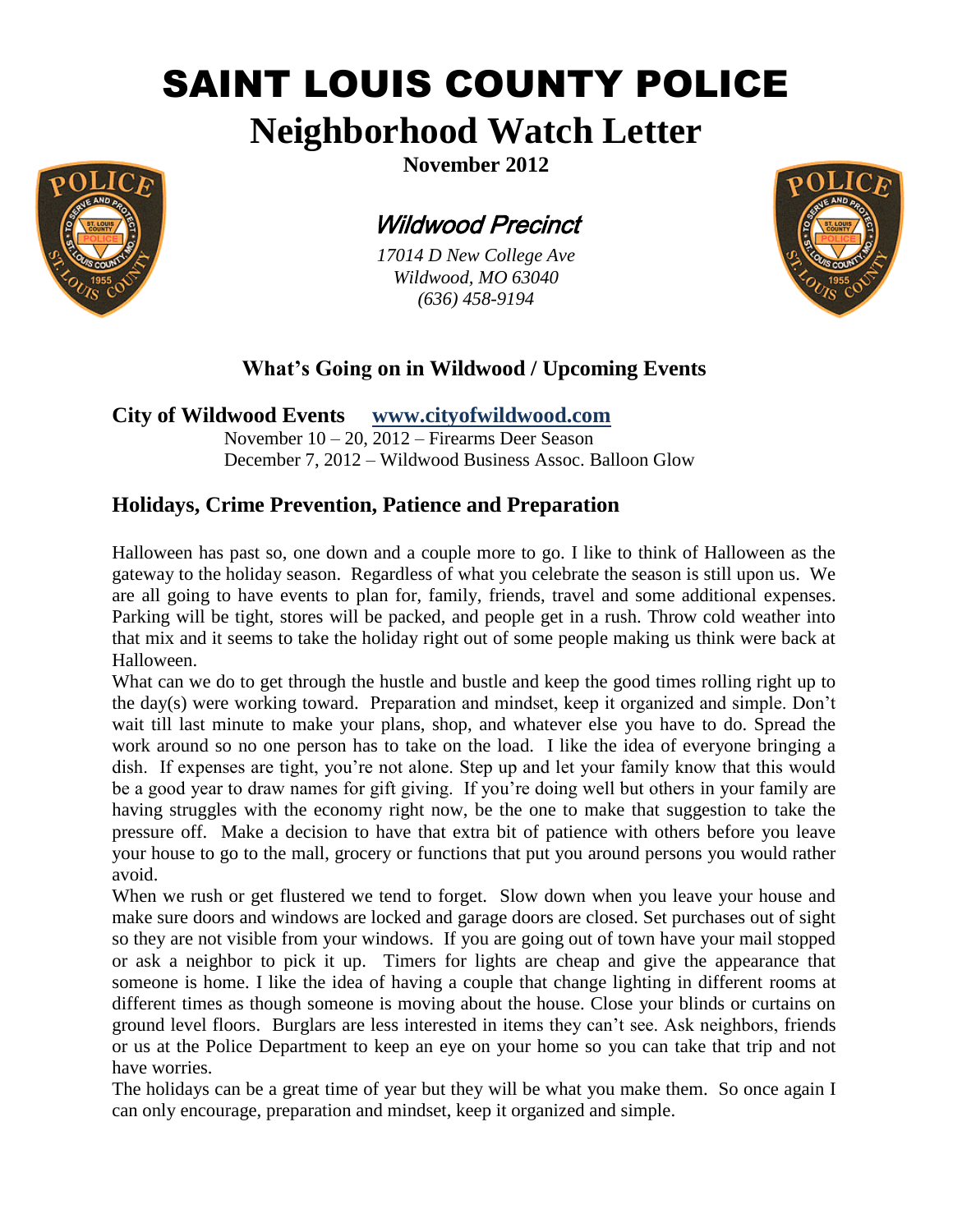# SAINT LOUIS COUNTY POLICE

## **Neighborhood Watch Letter**



Wildwood Precinct

*17014 D New College Ave Wildwood, MO 63040 (636) 458-9194*



## **What's Going on in Wildwood / Upcoming Events**

**City of Wildwood Events www.cityofwildwood.com**

November 10 – 20, 2012 – Firearms Deer Season December 7, 2012 – Wildwood Business Assoc. Balloon Glow

### **Holidays, Crime Prevention, Patience and Preparation**

Halloween has past so, one down and a couple more to go. I like to think of Halloween as the gateway to the holiday season. Regardless of what you celebrate the season is still upon us. We are all going to have events to plan for, family, friends, travel and some additional expenses. Parking will be tight, stores will be packed, and people get in a rush. Throw cold weather into that mix and it seems to take the holiday right out of some people making us think were back at Halloween.

What can we do to get through the hustle and bustle and keep the good times rolling right up to the day(s) were working toward. Preparation and mindset, keep it organized and simple. Don't wait till last minute to make your plans, shop, and whatever else you have to do. Spread the work around so no one person has to take on the load. I like the idea of everyone bringing a dish. If expenses are tight, you're not alone. Step up and let your family know that this would be a good year to draw names for gift giving. If you're doing well but others in your family are having struggles with the economy right now, be the one to make that suggestion to take the pressure off. Make a decision to have that extra bit of patience with others before you leave your house to go to the mall, grocery or functions that put you around persons you would rather avoid.

When we rush or get flustered we tend to forget. Slow down when you leave your house and make sure doors and windows are locked and garage doors are closed. Set purchases out of sight so they are not visible from your windows. If you are going out of town have your mail stopped or ask a neighbor to pick it up. Timers for lights are cheap and give the appearance that someone is home. I like the idea of having a couple that change lighting in different rooms at different times as though someone is moving about the house. Close your blinds or curtains on ground level floors. Burglars are less interested in items they can't see. Ask neighbors, friends or us at the Police Department to keep an eye on your home so you can take that trip and not have worries.

The holidays can be a great time of year but they will be what you make them. So once again I can only encourage, preparation and mindset, keep it organized and simple.